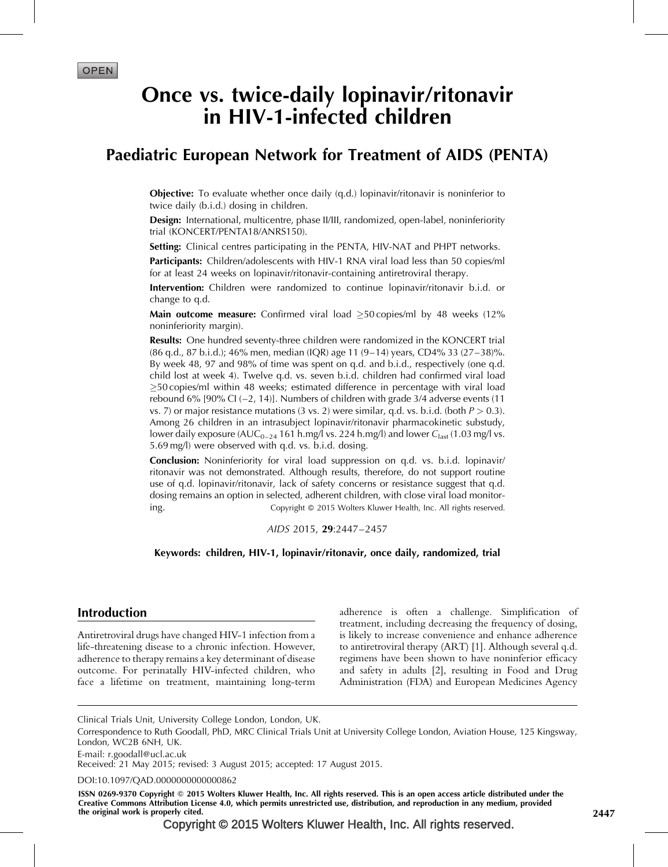# Once vs. twice-daily lopinavir/ritonavir in HIV-1-infected children

## Paediatric European Network for Treatment of AIDS (PENTA)

**Objective:** To evaluate whether once daily  $(q,d)$  lopinavir/ritonavir is noninferior to twice daily (b.i.d.) dosing in children.

Design: International, multicentre, phase II/III, randomized, open-label, noninferiority trial (KONCERT/PENTA18/ANRS150).

Setting: Clinical centres participating in the PENTA, HIV-NAT and PHPT networks.

Participants: Children/adolescents with HIV-1 RNA viral load less than 50 copies/ml for at least 24 weeks on lopinavir/ritonavir-containing antiretroviral therapy.

Intervention: Children were randomized to continue lopinavir/ritonavir b.i.d. or change to q.d.

Main outcome measure: Confirmed viral load  $\geq$ 50 copies/ml by 48 weeks (12% noninferiority margin).

Results: One hundred seventy-three children were randomized in the KONCERT trial (86 q.d., 87 b.i.d.); 46% men, median (IQR) age 11 (9–14) years, CD4% 33 (27–38)%. By week 48, 97 and 98% of time was spent on q.d. and b.i.d., respectively (one q.d. child lost at week 4). Twelve q.d. vs. seven b.i.d. children had confirmed viral load  $\geq$ 50 copies/ml within 48 weeks; estimated difference in percentage with viral load rebound 6% [90% CI (–2, 14)]. Numbers of children with grade 3/4 adverse events (11 vs. 7) or major resistance mutations (3 vs. 2) were similar, q.d. vs. b.i.d. (both  $P > 0.3$ ). Among 26 children in an intrasubject lopinavir/ritonavir pharmacokinetic substudy, lower daily exposure (AUC<sub>0–24</sub> 161 h.mg/l vs. 224 h.mg/l) and lower C<sub>last</sub> (1.03 mg/l vs. 5.69 mg/l) were observed with q.d. vs. b.i.d. dosing.

Conclusion: Noninferiority for viral load suppression on q.d. vs. b.i.d. lopinavir/ ritonavir was not demonstrated. Although results, therefore, do not support routine use of q.d. lopinavir/ritonavir, lack of safety concerns or resistance suggest that q.d. dosing remains an option in selected, adherent children, with close viral load monitoring. The Copyright © 2015 Wolters Kluwer Health, Inc. All rights reserved.

AIDS 2015, 29*:*2447–2457

#### Keywords: children, HIV-1, lopinavir/ritonavir, once daily, randomized, trial

## Introduction

Antiretroviral drugs have changed HIV-1 infection from a life-threatening disease to a chronic infection. However, adherence to therapy remains a key determinant of disease outcome. For perinatally HIV-infected children, who face a lifetime on treatment, maintaining long-term

adherence is often a challenge. Simplification of treatment, including decreasing the frequency of dosing, is likely to increase convenience and enhance adherence to antiretroviral therapy (ART) [\[1\].](#page-9-0) Although several q.d. regimens have been shown to have noninferior efficacy and safety in adults [\[2\],](#page-9-0) resulting in Food and Drug Administration (FDA) and European Medicines Agency

Clinical Trials Unit, University College London, London, UK.

Correspondence to Ruth Goodall, PhD, MRC Clinical Trials Unit at University College London, Aviation House, 125 Kingsway, London, WC2B 6NH, UK.

E-mail: r.goodall@ucl.ac.uk

Received: 21 May 2015; revised: 3 August 2015; accepted: 17 August 2015.

DOI[:10.1097/QAD.0000000000000862](http://dx.doi.org/10.1097/QAD.0000000000000862)

ISSN 0269-9370 Copyright © 2015 Wolters Kluwer Health, Inc. All rights reserved. This is an open access article distributed under the Creative Commons Attribution License 4.0, which permits unrestricted use, distribution, and reproduction in any medium, provided the original work is properly cited. 2447

Copyright © 2015 Wolters Kluwer Health, Inc. All rights reserved.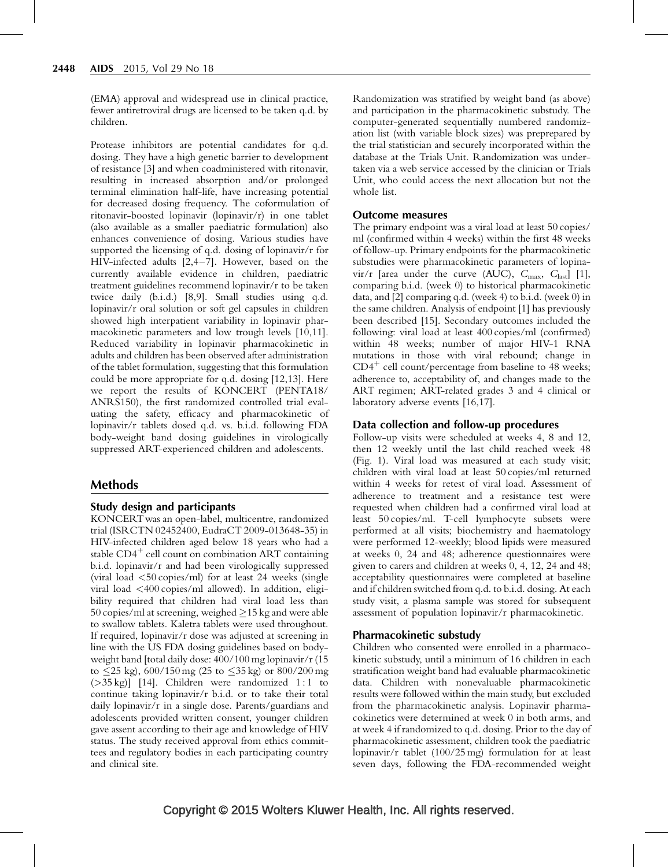(EMA) approval and widespread use in clinical practice, fewer antiretroviral drugs are licensed to be taken q.d. by children.

Protease inhibitors are potential candidates for q.d. dosing. They have a high genetic barrier to development of resistance [\[3\]](#page-9-0) and when coadministered with ritonavir, resulting in increased absorption and/or prolonged terminal elimination half-life, have increasing potential for decreased dosing frequency. The coformulation of ritonavir-boosted lopinavir (lopinavir/r) in one tablet (also available as a smaller paediatric formulation) also enhances convenience of dosing. Various studies have supported the licensing of q.d. dosing of lopinavir/r for HIV-infected adults [\[2,4–7\].](#page-9-0) However, based on the currently available evidence in children, paediatric treatment guidelines recommend lopinavir/r to be taken twice daily (b.i.d.) [\[8,9\].](#page-9-0) Small studies using q.d. lopinavir/r oral solution or soft gel capsules in children showed high interpatient variability in lopinavir pharmacokinetic parameters and low trough levels [\[10,11\]](#page-9-0). Reduced variability in lopinavir pharmacokinetic in adults and children has been observed after administration of the tablet formulation, suggesting that this formulation could be more appropriate for q.d. dosing [\[12,13\]](#page-10-0). Here we report the results of KONCERT (PENTA18/ ANRS150), the first randomized controlled trial evaluating the safety, efficacy and pharmacokinetic of lopinavir/r tablets dosed q.d. vs. b.i.d. following FDA body-weight band dosing guidelines in virologically suppressed ART-experienced children and adolescents.

## Methods

## Study design and participants

KONCERTwas an open-label, multicentre, randomized trial (ISRCTN 02452400, EudraCT 2009-013648-35) in HIV-infected children aged below 18 years who had a stable  $CD4^+$  cell count on combination ART containing b.i.d. lopinavir/r and had been virologically suppressed (viral load <50 copies/ml) for at least 24 weeks (single viral load <400 copies/ml allowed). In addition, eligibility required that children had viral load less than 50 copies/ml at screening, weighed  $\geq$  15 kg and were able to swallow tablets. Kaletra tablets were used throughout. If required, lopinavir/r dose was adjusted at screening in line with the US FDA dosing guidelines based on bodyweight band [total daily dose: 400/100 mg lopinavir/r (15 to  $\leq$ 25 kg), 600/150 mg (25 to  $\leq$ 35 kg) or 800/200 mg  $(>=35 \text{ kg})$  [\[14\]](#page-10-0). Children were randomized 1:1 to continue taking lopinavir/r b.i.d. or to take their total daily lopinavir/r in a single dose. Parents/guardians and adolescents provided written consent, younger children gave assent according to their age and knowledge of HIV status. The study received approval from ethics committees and regulatory bodies in each participating country and clinical site.

Randomization was stratified by weight band (as above) and participation in the pharmacokinetic substudy. The computer-generated sequentially numbered randomization list (with variable block sizes) was preprepared by the trial statistician and securely incorporated within the database at the Trials Unit. Randomization was undertaken via a web service accessed by the clinician or Trials Unit, who could access the next allocation but not the whole list.

#### Outcome measures

The primary endpoint was a viral load at least 50 copies/ ml (confirmed within 4 weeks) within the first 48 weeks of follow-up. Primary endpoints for the pharmacokinetic substudies were pharmacokinetic parameters of lopinavir/r [area under the curve (AUC),  $C_{\text{max}}$ ,  $C_{\text{last}}$ ] [\[1\]](#page-9-0), comparing b.i.d. (week 0) to historical pharmacokinetic data, and [\[2\]](#page-9-0) comparing q.d. (week 4) to b.i.d. (week 0) in the same children. Analysis of endpoint [\[1\]](#page-9-0) has previously been described [\[15\]](#page-10-0). Secondary outcomes included the following: viral load at least 400 copies/ml (confirmed) within 48 weeks; number of major HIV-1 RNA mutations in those with viral rebound; change in  $CD4^+$  cell count/percentage from baseline to 48 weeks; adherence to, acceptability of, and changes made to the ART regimen; ART-related grades 3 and 4 clinical or laboratory adverse events [\[16,17\].](#page-10-0)

### Data collection and follow-up procedures

Follow-up visits were scheduled at weeks 4, 8 and 12, then 12 weekly until the last child reached week 48 ([Fig. 1\)](#page-2-0). Viral load was measured at each study visit; children with viral load at least 50 copies/ml returned within 4 weeks for retest of viral load. Assessment of adherence to treatment and a resistance test were requested when children had a confirmed viral load at least 50 copies/ml. T-cell lymphocyte subsets were performed at all visits; biochemistry and haematology were performed 12-weekly; blood lipids were measured at weeks 0, 24 and 48; adherence questionnaires were given to carers and children at weeks 0, 4, 12, 24 and 48; acceptability questionnaires were completed at baseline and if children switched from q.d. to b.i.d. dosing. At each study visit, a plasma sample was stored for subsequent assessment of population lopinavir/r pharmacokinetic.

## Pharmacokinetic substudy

Children who consented were enrolled in a pharmacokinetic substudy, until a minimum of 16 children in each stratification weight band had evaluable pharmacokinetic data. Children with nonevaluable pharmacokinetic results were followed within the main study, but excluded from the pharmacokinetic analysis. Lopinavir pharmacokinetics were determined at week 0 in both arms, and at week 4 if randomized to q.d. dosing. Prior to the day of pharmacokinetic assessment, children took the paediatric lopinavir/r tablet (100/25 mg) formulation for at least seven days, following the FDA-recommended weight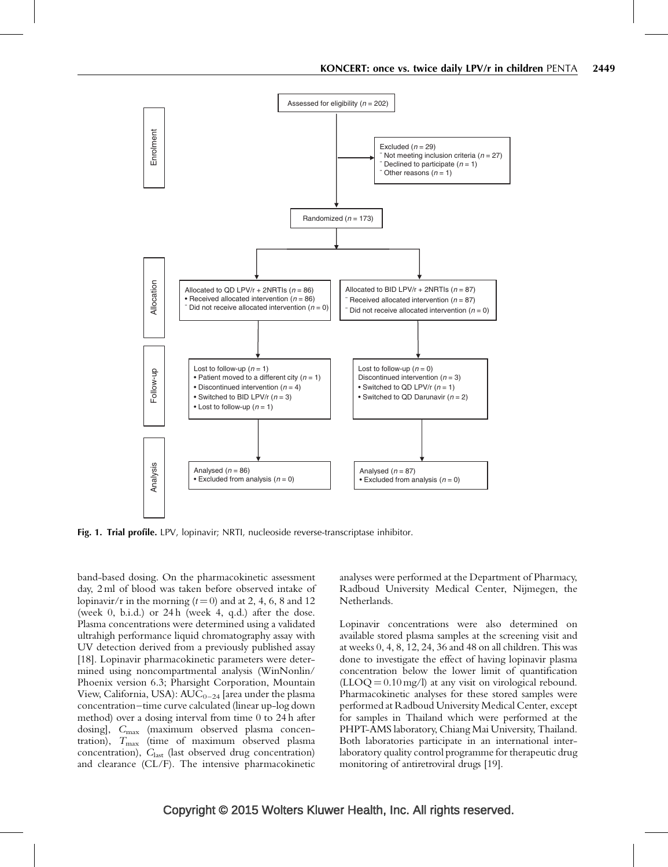<span id="page-2-0"></span>

Fig. 1. Trial profile. LPV, lopinavir; NRTI, nucleoside reverse-transcriptase inhibitor.

band-based dosing. On the pharmacokinetic assessment day, 2 ml of blood was taken before observed intake of lopinavir/r in the morning  $(t = 0)$  and at 2, 4, 6, 8 and 12 (week 0, b.i.d.) or 24 h (week 4, q.d.) after the dose. Plasma concentrations were determined using a validated ultrahigh performance liquid chromatography assay with UV detection derived from a previously published assay [\[18\]](#page-10-0). Lopinavir pharmacokinetic parameters were determined using noncompartmental analysis (WinNonlin/ Phoenix version 6.3; Pharsight Corporation, Mountain View, California, USA):  $AUC_{0-24}$  [area under the plasma concentration–time curve calculated (linear up-log down method) over a dosing interval from time 0 to 24 h after dosing], C<sub>max</sub> (maximum observed plasma concentration),  $T_{\text{max}}$  (time of maximum observed plasma concentration),  $C_{\text{last}}$  (last observed drug concentration) and clearance (CL/F). The intensive pharmacokinetic

analyses were performed at the Department of Pharmacy, Radboud University Medical Center, Nijmegen, the Netherlands.

Lopinavir concentrations were also determined on available stored plasma samples at the screening visit and at weeks 0, 4, 8, 12, 24, 36 and 48 on all children. This was done to investigate the effect of having lopinavir plasma concentration below the lower limit of quantification  $(LLOQ = 0.10$  mg/l) at any visit on virological rebound. Pharmacokinetic analyses for these stored samples were performed at Radboud University Medical Center, except for samples in Thailand which were performed at the PHPT-AMS laboratory, Chiang Mai University, Thailand. Both laboratories participate in an international interlaboratory quality control programme for therapeutic drug monitoring of antiretroviral drugs [\[19\].](#page-10-0)

## Copyright © 2015 Wolters Kluwer Health, Inc. All rights reserved.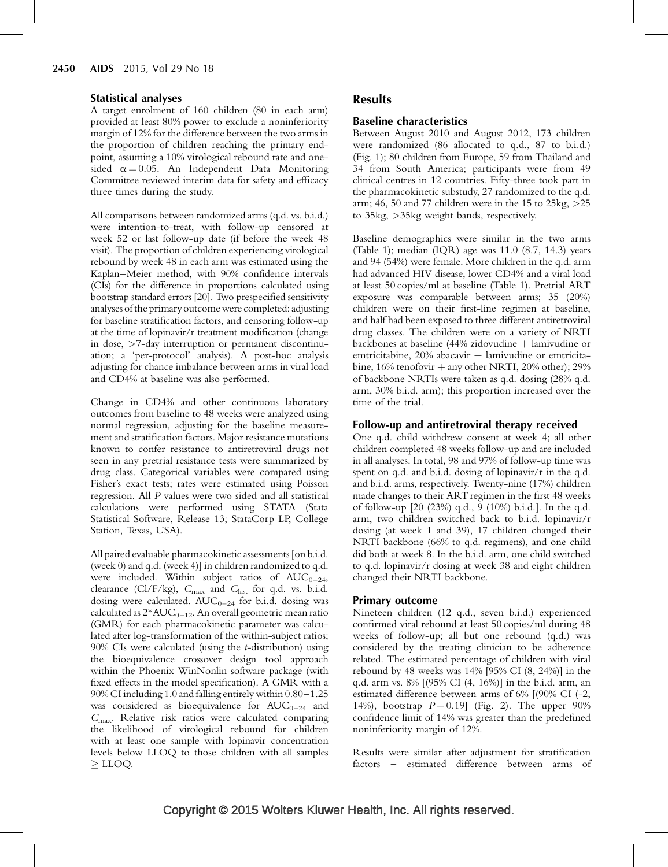#### Statistical analyses

A target enrolment of 160 children (80 in each arm) provided at least 80% power to exclude a noninferiority margin of 12% for the difference between the two arms in the proportion of children reaching the primary endpoint, assuming a 10% virological rebound rate and onesided  $\alpha = 0.05$ . An Independent Data Monitoring Committee reviewed interim data for safety and efficacy three times during the study.

All comparisons between randomized arms (q.d. vs. b.i.d.) were intention-to-treat, with follow-up censored at week 52 or last follow-up date (if before the week 48 visit). The proportion of children experiencing virological rebound by week 48 in each arm was estimated using the Kaplan–Meier method, with 90% confidence intervals (CIs) for the difference in proportions calculated using bootstrap standard errors [\[20\]](#page-10-0). Two prespecified sensitivity analyses ofthe primary outcome were completed: adjusting for baseline stratification factors, and censoring follow-up at the time of lopinavir/r treatment modification (change in dose, >7-day interruption or permanent discontinuation; a 'per-protocol' analysis). A post-hoc analysis adjusting for chance imbalance between arms in viral load and CD4% at baseline was also performed.

Change in CD4% and other continuous laboratory outcomes from baseline to 48 weeks were analyzed using normal regression, adjusting for the baseline measurement and stratification factors. Major resistance mutations known to confer resistance to antiretroviral drugs not seen in any pretrial resistance tests were summarized by drug class. Categorical variables were compared using Fisher's exact tests; rates were estimated using Poisson regression. All P values were two sided and all statistical calculations were performed using STATA (Stata Statistical Software, Release 13; StataCorp LP, College Station, Texas, USA).

All paired evaluable pharmacokinetic assessments [on b.i.d. (week 0) and q.d. (week 4)] in children randomized to q.d. were included. Within subject ratios of  $AUC_{0-24}$ , clearance (Cl/F/kg),  $C_{\text{max}}$  and  $C_{\text{last}}$  for q.d. vs. b.i.d. dosing were calculated.  $AUC_{0-24}$  for b.i.d. dosing was calculated as  $2*AUC_{0-12}$ . An overall geometric mean ratio (GMR) for each pharmacokinetic parameter was calculated after log-transformation of the within-subject ratios; 90% CIs were calculated (using the t-distribution) using the bioequivalence crossover design tool approach within the Phoenix WinNonlin software package (with fixed effects in the model specification). A GMR with a 90% CI including 1.0 and falling entirely within 0.80–1.25 was considered as bioequivalence for  $AUC_{0-24}$  and  $C_{\text{max}}$ . Relative risk ratios were calculated comparing the likelihood of virological rebound for children with at least one sample with lopinavir concentration levels below LLOQ to those children with all samples  $\geq$  LLOQ.

#### Results

#### Baseline characteristics

Between August 2010 and August 2012, 173 children were randomized (86 allocated to q.d., 87 to b.i.d.) ([Fig. 1\)](#page-2-0); 80 children from Europe, 59 from Thailand and 34 from South America; participants were from 49 clinical centres in 12 countries. Fifty-three took part in the pharmacokinetic substudy, 27 randomized to the q.d. arm; 46, 50 and 77 children were in the 15 to  $25\text{kg}$ ,  $>25$ to 35kg, >35kg weight bands, respectively.

Baseline demographics were similar in the two arms ([Table 1](#page-4-0)); median (IQR) age was 11.0 (8.7, 14.3) years and 94 (54%) were female. More children in the q.d. arm had advanced HIV disease, lower CD4% and a viral load at least 50 copies/ml at baseline [\(Table 1](#page-4-0)). Pretrial ART exposure was comparable between arms; 35 (20%) children were on their first-line regimen at baseline, and half had been exposed to three different antiretroviral drug classes. The children were on a variety of NRTI backbones at baseline (44% zidovudine  $+$  lamivudine or emtricitabine,  $20\%$  abacavir  $+$  lamivudine or emtricitabine, 16% tenofovir + any other NRTI, 20% other); 29% of backbone NRTIs were taken as q.d. dosing (28% q.d. arm, 30% b.i.d. arm); this proportion increased over the time of the trial.

#### Follow-up and antiretroviral therapy received

One q.d. child withdrew consent at week 4; all other children completed 48 weeks follow-up and are included in all analyses. In total, 98 and 97% of follow-up time was spent on q.d. and b.i.d. dosing of lopinavir/r in the q.d. and b.i.d. arms, respectively. Twenty-nine (17%) children made changes to their ART regimen in the first 48 weeks of follow-up [20 (23%) q.d., 9 (10%) b.i.d.]. In the q.d. arm, two children switched back to b.i.d. lopinavir/r dosing (at week 1 and 39), 17 children changed their NRTI backbone (66% to q.d. regimens), and one child did both at week 8. In the b.i.d. arm, one child switched to q.d. lopinavir/r dosing at week 38 and eight children changed their NRTI backbone.

#### Primary outcome

Nineteen children (12 q.d., seven b.i.d.) experienced confirmed viral rebound at least 50 copies/ml during 48 weeks of follow-up; all but one rebound (q.d.) was considered by the treating clinician to be adherence related. The estimated percentage of children with viral rebound by 48 weeks was 14% [95% CI (8, 24%)] in the q.d. arm vs. 8% [(95% CI (4, 16%)] in the b.i.d. arm, an estimated difference between arms of 6% [(90% CI (-2, 14%), bootstrap  $P = 0.19$  [\(Fig. 2](#page-4-0)). The upper 90% confidence limit of 14% was greater than the predefined noninferiority margin of 12%.

Results were similar after adjustment for stratification factors – estimated difference between arms of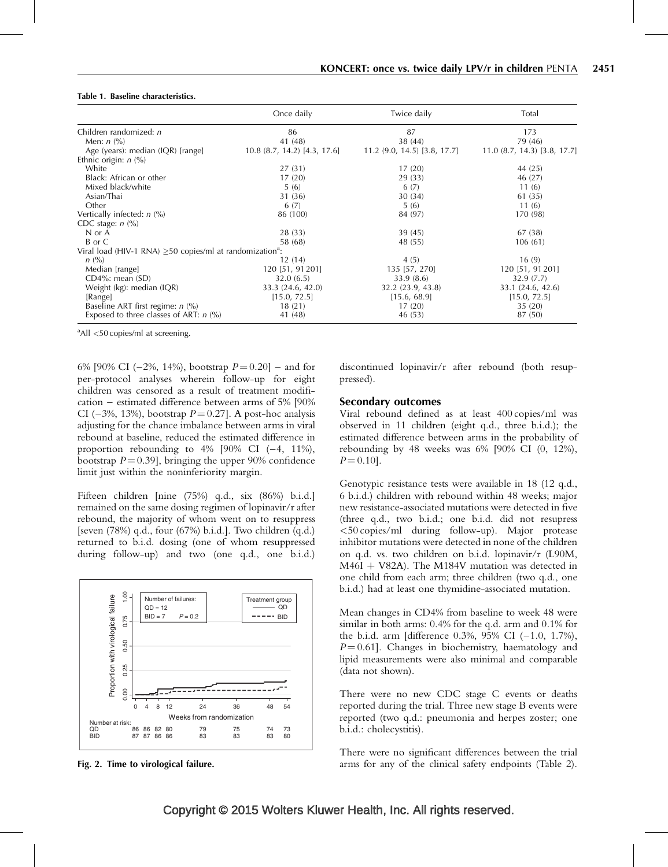#### <span id="page-4-0"></span>Table 1. Baseline characteristics.

|                                                                            | Once daily                    | Twice daily                  | Total                         |
|----------------------------------------------------------------------------|-------------------------------|------------------------------|-------------------------------|
| Children randomized: n                                                     | 86                            | 87                           | 173                           |
| Men: $n$ (%)                                                               | 41 (48)                       | 38 (44)                      | 79 (46)                       |
| Age (years): median (IQR) [range]                                          | $10.8(8.7, 14.2)$ [4.3, 17.6] | 11.2 (9.0, 14.5) [3.8, 17.7] | $11.0(8.7, 14.3)$ [3.8, 17.7] |
| Ethnic origin: $n$ (%)                                                     |                               |                              |                               |
| White                                                                      | 27(31)                        | 17(20)                       | 44 (25)                       |
| Black: African or other                                                    | 17(20)                        | 29 (33)                      | 46 (27)                       |
| Mixed black/white                                                          | 5(6)                          | 6(7)                         | 11(6)                         |
| Asian/Thai                                                                 | 31 (36)                       | 30(34)                       | 61 (35)                       |
| Other                                                                      | 6(7)                          | 5(6)                         | 11(6)                         |
| Vertically infected: $n$ (%)                                               | 86 (100)                      | 84 (97)                      | 170 (98)                      |
| CDC stage: $n$ (%)                                                         |                               |                              |                               |
| N or A                                                                     | 28 (33)                       | 39(45)                       | 67 (38)                       |
| B or C                                                                     | 58 (68)                       | 48 (55)                      | 106(61)                       |
| Viral load (HIV-1 RNA) $\geq$ 50 copies/ml at randomization <sup>a</sup> : |                               |                              |                               |
| n (%)                                                                      | 12(14)                        | 4(5)                         | 16(9)                         |
| Median [range]                                                             | 120 [51, 91 201]              | 135 [57, 270]                | 120 [51, 91 201]              |
| $CD4\%$ : mean $(SD)$                                                      | 32.0(6.5)                     | 33.9(8.6)                    | 32.9(7.7)                     |
| Weight (kg): median (IQR)                                                  | 33.3 (24.6, 42.0)             | 32.2(23.9, 43.8)             | 33.1 (24.6, 42.6)             |
| [Range]                                                                    | [15.0, 72.5]                  | [15.6, 68.9]                 | [15.0, 72.5]                  |
| Baseline ART first regime: $n$ (%)                                         | 18(21)                        | 17(20)                       | 35(20)                        |
| Exposed to three classes of ART: $n$ (%)                                   | 41 (48)                       | 46 (53)                      | 87 (50)                       |

aAll <50 copies/ml at screening.

6% [90% CI (-2%, 14%), bootstrap  $P = 0.20$ ] – and for per-protocol analyses wherein follow-up for eight children was censored as a result of treatment modification – estimated difference between arms of 5% [90% CI ( $-3\%$ , 13%), bootstrap  $P = 0.27$ ]. A post-hoc analysis adjusting for the chance imbalance between arms in viral rebound at baseline, reduced the estimated difference in proportion rebounding to  $4\%$  [90% CI (-4, 11%), bootstrap  $P = 0.39$ , bringing the upper 90% confidence limit just within the noninferiority margin.

Fifteen children [nine (75%) q.d., six (86%) b.i.d.] remained on the same dosing regimen of lopinavir/r after rebound, the majority of whom went on to resuppress [seven (78%) q.d., four (67%) b.i.d.]. Two children (q.d.) returned to b.i.d. dosing (one of whom resuppressed during follow-up) and two (one q.d., one b.i.d.)



Fig. 2. Time to virological failure.

discontinued lopinavir/r after rebound (both resuppressed).

#### Secondary outcomes

Viral rebound defined as at least 400 copies/ml was observed in 11 children (eight q.d., three b.i.d.); the estimated difference between arms in the probability of rebounding by 48 weeks was 6% [90% CI (0, 12%),  $P = 0.10$ .

Genotypic resistance tests were available in 18 (12 q.d., 6 b.i.d.) children with rebound within 48 weeks; major new resistance-associated mutations were detected in five (three q.d., two b.i.d.; one b.i.d. did not resupress <50 copies/ml during follow-up). Major protease inhibitor mutations were detected in none of the children on q.d. vs. two children on b.i.d. lopinavir/r (L90M,  $M46I + V82A$ ). The M184V mutation was detected in one child from each arm; three children (two q.d., one b.i.d.) had at least one thymidine-associated mutation.

Mean changes in CD4% from baseline to week 48 were similar in both arms: 0.4% for the q.d. arm and 0.1% for the b.i.d. arm [difference 0.3%, 95% CI (–1.0, 1.7%),  $P = 0.61$ . Changes in biochemistry, haematology and lipid measurements were also minimal and comparable (data not shown).

There were no new CDC stage C events or deaths reported during the trial. Three new stage B events were reported (two q.d.: pneumonia and herpes zoster; one b.i.d.: cholecystitis).

There were no significant differences between the trial arms for any of the clinical safety endpoints [\(Table 2](#page-5-0)).

## Copyright © 2015 Wolters Kluwer Health, Inc. All rights reserved.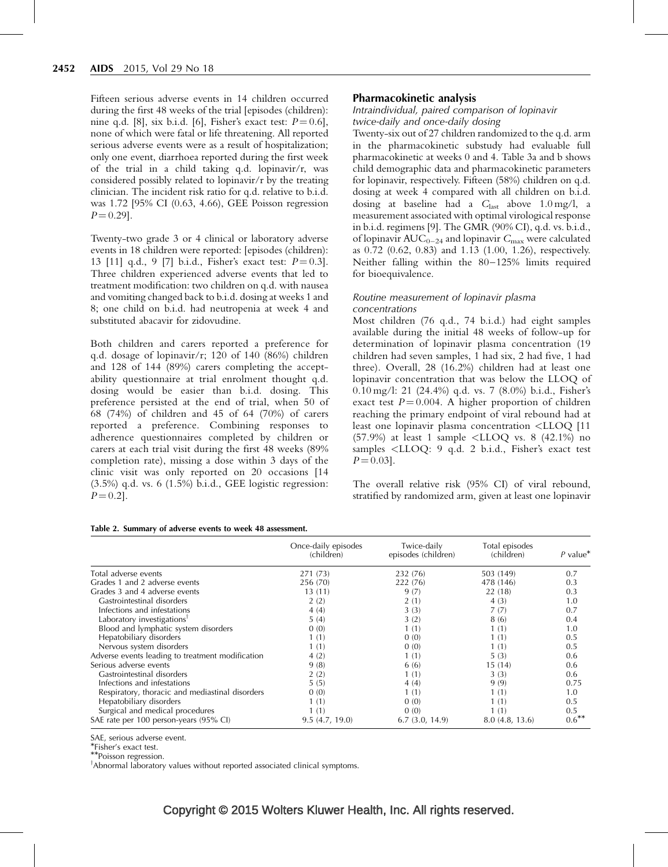<span id="page-5-0"></span>Fifteen serious adverse events in 14 children occurred during the first 48 weeks of the trial [episodes (children): nine q.d. [\[8\]](#page-9-0), six b.i.d. [\[6\],](#page-9-0) Fisher's exact test:  $P = 0.6$ ], none of which were fatal or life threatening. All reported serious adverse events were as a result of hospitalization; only one event, diarrhoea reported during the first week of the trial in a child taking q.d. lopinavir/r, was considered possibly related to lopinavir/r by the treating clinician. The incident risk ratio for q.d. relative to b.i.d. was 1.72 [95% CI (0.63, 4.66), GEE Poisson regression  $P = 0.29$ .

Twenty-two grade 3 or 4 clinical or laboratory adverse events in 18 children were reported: [episodes (children): 13 [\[11\]](#page-10-0) q.d., 9 [\[7\]](#page-9-0) b.i.d., Fisher's exact test:  $P = 0.3$ ]. Three children experienced adverse events that led to treatment modification: two children on q.d. with nausea and vomiting changed back to b.i.d. dosing at weeks 1 and 8; one child on b.i.d. had neutropenia at week 4 and substituted abacavir for zidovudine.

Both children and carers reported a preference for q.d. dosage of lopinavir/r; 120 of 140 (86%) children and 128 of 144 (89%) carers completing the acceptability questionnaire at trial enrolment thought q.d. dosing would be easier than b.i.d. dosing. This preference persisted at the end of trial, when 50 of 68 (74%) of children and 45 of 64 (70%) of carers reported a preference. Combining responses to adherence questionnaires completed by children or carers at each trial visit during the first 48 weeks (89% completion rate), missing a dose within 3 days of the clinic visit was only reported on 20 occasions [14 (3.5%) q.d. vs. 6 (1.5%) b.i.d., GEE logistic regression:  $P = 0.2$ ].

#### Table 2. Summary of adverse events to week 48 assessment.

#### Pharmacokinetic analysis

#### Intraindividual, paired comparison of lopinavir twice-daily and once-daily dosing

Twenty-six out of 27 children randomized to the q.d. arm in the pharmacokinetic substudy had evaluable full pharmacokinetic at weeks 0 and 4. [Table 3a](#page-6-0) and b shows child demographic data and pharmacokinetic parameters for lopinavir, respectively. Fifteen (58%) children on q.d. dosing at week 4 compared with all children on b.i.d. dosing at baseline had a  $C_{\text{last}}$  above 1.0 mg/l, a measurement associated with optimal virological response in b.i.d. regimens [\[9\].](#page-9-0) The GMR (90% CI), q.d. vs. b.i.d., of lopinavir  $AUC_{0-24}$  and lopinavir  $C_{\text{max}}$  were calculated as 0.72 (0.62, 0.83) and 1.13 (1.00, 1.26), respectively. Neither falling within the 80–125% limits required for bioequivalence.

#### Routine measurement of lopinavir plasma concentrations

Most children (76 q.d., 74 b.i.d.) had eight samples available during the initial 48 weeks of follow-up for determination of lopinavir plasma concentration (19 children had seven samples, 1 had six, 2 had five, 1 had three). Overall, 28 (16.2%) children had at least one lopinavir concentration that was below the LLOQ of 0.10 mg/l: 21 (24.4%) q.d. vs. 7 (8.0%) b.i.d., Fisher's exact test  $P = 0.004$ . A higher proportion of children reaching the primary endpoint of viral rebound had at least one lopinavir plasma concentration <LLOQ [11 (57.9%) at least 1 sample <LLOQ vs. 8 (42.1%) no samples <LLOQ: 9 q.d. 2 b.i.d., Fisher's exact test  $P = 0.03$ .

The overall relative risk (95% CI) of viral rebound, stratified by randomized arm, given at least one lopinavir

|                                                  | Once-daily episodes<br>(children) | Twice-daily<br>episodes (children) | Total episodes<br>(children) | $P$ value <sup>*</sup> |
|--------------------------------------------------|-----------------------------------|------------------------------------|------------------------------|------------------------|
|                                                  |                                   |                                    |                              |                        |
| Total adverse events                             | 271 (73)                          | 232 (76)                           | 503 (149)                    | 0.7                    |
| Grades 1 and 2 adverse events                    | 256 (70)                          | 222 (76)                           | 478 (146)                    | 0.3                    |
| Grades 3 and 4 adverse events                    | 13 (11)                           | 9(7)                               | 22 (18)                      | 0.3                    |
| Gastrointestinal disorders                       | 2(2)                              | 2(1)                               | 4(3)                         | 1.0                    |
| Infections and infestations                      | 4(4)                              | 3(3)                               | 7(7)                         | 0.7                    |
| Laboratory investigations <sup>1</sup>           | 5(4)                              | 3(2)                               | 8 (6)                        | 0.4                    |
| Blood and lymphatic system disorders             | 0(0)                              | 1(1)                               | 1(1)                         | 1.0                    |
| Hepatobiliary disorders                          | 1 (1)                             | 0(0)                               | 1 (1)                        | 0.5                    |
| Nervous system disorders                         | 1(1)                              | 0(0)                               | 1(1)                         | 0.5                    |
| Adverse events leading to treatment modification | 4(2)                              | 1(1)                               | 5(3)                         | 0.6                    |
| Serious adverse events                           | 9(8)                              | 6(6)                               | 15(14)                       | 0.6                    |
| Gastrointestinal disorders                       | 2(2)                              | 1(1)                               | 3(3)                         | 0.6                    |
| Infections and infestations                      | 5(5)                              | 4(4)                               | 9(9)                         | 0.75                   |
| Respiratory, thoracic and mediastinal disorders  | 0(0)                              | 1(1)                               | 1(1)                         | 1.0                    |
| Hepatobiliary disorders                          | 1(1)                              | 0(0)                               | 1(1)                         | 0.5                    |
| Surgical and medical procedures                  | 1(1)                              | 0(0)                               | 1 (1)                        | 0.5                    |
| SAE rate per 100 person-years (95% CI)           | 9.5(4.7, 19.0)                    | $6.7$ $(3.0, 14.9)$                | 8.0(4.8, 13.6)               | $0.6***$               |

SAE, serious adverse event.

M Fisher's exact test.

\*\*Poisson regression.

Abnormal laboratory values without reported associated clinical symptoms.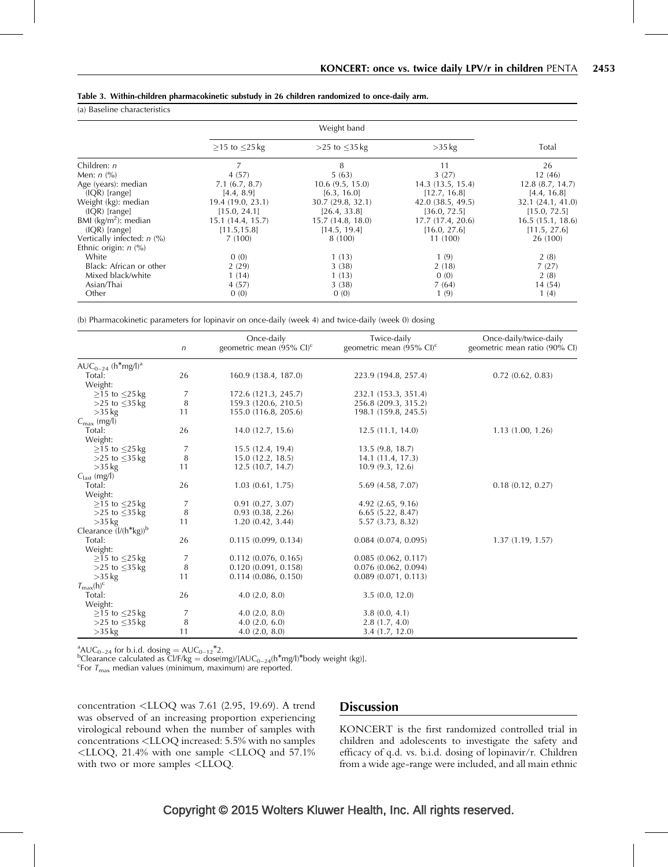#### <span id="page-6-0"></span>Table 3. Within-children pharmacokinetic substudy in 26 children randomized to once-daily arm.

(a) Baseline characteristics

|                              | Weight band               |                    |                  |                  |
|------------------------------|---------------------------|--------------------|------------------|------------------|
|                              | $\geq$ 15 to $\leq$ 25 kg | $>25$ to $<$ 35 kg | $>35$ kg         | Total            |
| Children: n                  | 7                         | 8                  | 11               | 26               |
| Men: $n$ (%)                 | 4(57)                     | 5(63)              | 3(27)            | 12(46)           |
| Age (years): median          | 7.1(6.7, 8.7)             | 10.6(9.5, 15.0)    | 14.3(13.5, 15.4) | 12.8(8.7, 14.7)  |
| $(IQR)$ [range]              | [4.4, 8.9]                | [6.3, 16.0]        | [12.7, 16.8]     | [4.4, 16.8]      |
| Weight (kg): median          | 19.4(19.0, 23.1)          | 30.7(29.8, 32.1)   | 42.0(38.5, 49.5) | 32.1(24.1, 41.0) |
| $(IQR)$ [range]              | [15.0, 24.1]              | [26.4, 33.8]       | [36.0, 72.5]     | [15.0, 72.5]     |
| BMI ( $kg/m2$ ): median      | 15.1 (14.4, 15.7)         | 15.7(14.8, 18.0)   | 17.7(17.4, 20.6) | 16.5(15.1, 18.6) |
| $(IQR)$ [range]              | [11.5, 15.8]              | [14.5, 19.4]       | [16.0, 27.6]     | [11.5, 27.6]     |
| Vertically infected: $n$ (%) | 7(100)                    | 8 (100)            | 11 (100)         | 26 (100)         |
| Ethnic origin: $n$ (%)       |                           |                    |                  |                  |
| White                        | 0(0)                      | 1(13)              | 1(9)             | 2(8)             |
| Black: African or other      | 2(29)                     | 3(38)              | 2(18)            | 7(27)            |
| Mixed black/white            | 1(14)                     | 1(13)              | 0(0)             | 2(8)             |
| Asian/Thai                   | 4(57)                     | 3(38)              | 7(64)            | 14 (54)          |
| Other                        | 0(0)                      | 0(0)               | 1(9)             | 1(4)             |

(b) Pharmacokinetic parameters for lopinavir on once-daily (week 4) and twice-daily (week 0) dosing

|                                                 | $\sqrt{n}$ | Once-daily<br>geometric mean $(95\% \text{ Cl})^c$ | Twice-daily<br>geometric mean $(95\% \text{ Cl})^c$ | Once-daily/twice-daily<br>geometric mean ratio (90% CI) |
|-------------------------------------------------|------------|----------------------------------------------------|-----------------------------------------------------|---------------------------------------------------------|
| $AUC_{0-24}$ (h <sup>*</sup> mg/l) <sup>a</sup> |            |                                                    |                                                     |                                                         |
| Total:<br>Weight:                               | 26         | 160.9 (138.4, 187.0)                               | 223.9 (194.8, 257.4)                                | 0.72(0.62, 0.83)                                        |
| $>15$ to $<$ 25 kg                              | 7          | 172.6 (121.3, 245.7)                               | 232.1 (153.3, 351.4)                                |                                                         |
| $>25$ to $\leq$ 35 kg                           | 8          | 159.3 (120.6, 210.5)                               | 256.8 (209.3, 315.2)                                |                                                         |
| $>35$ kg                                        | 11         | 155.0 (116.8, 205.6)                               | 198.1 (159.8, 245.5)                                |                                                         |
| $C_{\text{max}}$ (mg/l)                         |            |                                                    |                                                     |                                                         |
| Total:                                          | 26         | 14.0(12.7, 15.6)                                   | 12.5(11.1, 14.0)                                    | 1.13(1.00, 1.26)                                        |
| Weight:                                         |            |                                                    |                                                     |                                                         |
| $≥15$ to $≤25$ kg                               | 7          | 15.5(12.4, 19.4)                                   | 13.5(9.8, 18.7)                                     |                                                         |
| $>25$ to $<$ 35 kg                              | 8          | 15.0(12.2, 18.5)                                   | 14.1 (11.4, 17.3)                                   |                                                         |
| $>35$ kg                                        | 11         | 12.5(10.7, 14.7)                                   | 10.9(9.3, 12.6)                                     |                                                         |
| $C_{\text{last}}$ (mg/l)                        |            |                                                    |                                                     |                                                         |
| Total:                                          | 26         | 1.03(0.61, 1.75)                                   | 5.69 (4.58, 7.07)                                   | 0.18(0.12, 0.27)                                        |
| Weight:                                         |            |                                                    |                                                     |                                                         |
| $>15$ to $<$ 25 kg                              | 7          | $0.91$ $(0.27, 3.07)$                              | 4.92(2.65, 9.16)                                    |                                                         |
| $>$ 25 to $<$ 35 kg                             | 8          | $0.93$ $(0.38, 2.26)$                              | 6.65(5.22, 8.47)                                    |                                                         |
| $>35$ kg                                        | 11         | 1.20(0.42, 3.44)                                   | 5.57(3.73, 8.32)                                    |                                                         |
| Clearance (I/(h*kg)) <sup>b</sup>               |            |                                                    |                                                     |                                                         |
| Total:                                          | 26         | 0.115(0.099, 0.134)                                | $0.084$ (0.074, 0.095)                              | 1.37(1.19, 1.57)                                        |
| Weight:                                         |            |                                                    |                                                     |                                                         |
| $>15$ to $<$ 25 kg                              | 7          | $0.112$ $(0.076, 0.165)$                           | 0.085(0.062, 0.117)                                 |                                                         |
| $>$ 25 to $\leq$ 35 kg                          | 8          | 0.120(0.091, 0.158)                                | 0.076(0.062, 0.094)                                 |                                                         |
| $>35$ kg                                        | 11         | 0.114(0.086, 0.150)                                | 0.089(0.071, 0.113)                                 |                                                         |
| $T_{\text{max}}(h)^c$                           |            |                                                    |                                                     |                                                         |
| Total:                                          | 26         | 4.0(2.0, 8.0)                                      | 3.5(0.0, 12.0)                                      |                                                         |
| Weight:                                         |            |                                                    |                                                     |                                                         |
| $>15$ to $<$ 25 kg                              | 7          | 4.0(2.0, 8.0)                                      | 3.8(0.0, 4.1)                                       |                                                         |
| $>25$ to $<$ 35 kg                              | 8          | 4.0(2.0, 6.0)                                      | 2.8(1.7, 4.0)                                       |                                                         |
| $>35$ kg                                        | 11         | 4.0(2.0, 8.0)                                      | 3.4(1.7, 12.0)                                      |                                                         |

<sup>a</sup>AUC<sub>0–24</sub> for b.i.d. dosing =  $AUC_{0-12}$ <sup>\*</sup>2.

 $\frac{D}{D}$ Clearance calculated as Cl/F/kg = dose(mg)/[AUC<sub>0–24</sub>(h<sup>\*</sup>mg/l)<sup>\*</sup>body weight (kg)].

For  $T_{\text{max}}$  median values (minimum, maximum) are reported.

concentration <LLOQ was 7.61 (2.95, 19.69). A trend was observed of an increasing proportion experiencing virological rebound when the number of samples with concentrations <LLOQ increased: 5.5% with no samples <LLOQ, 21.4% with one sample <LLOQ and 57.1% with two or more samples <LLOQ.

## Discussion

KONCERT is the first randomized controlled trial in children and adolescents to investigate the safety and efficacy of q.d. vs. b.i.d. dosing of lopinavir/r. Children from a wide age-range were included, and all main ethnic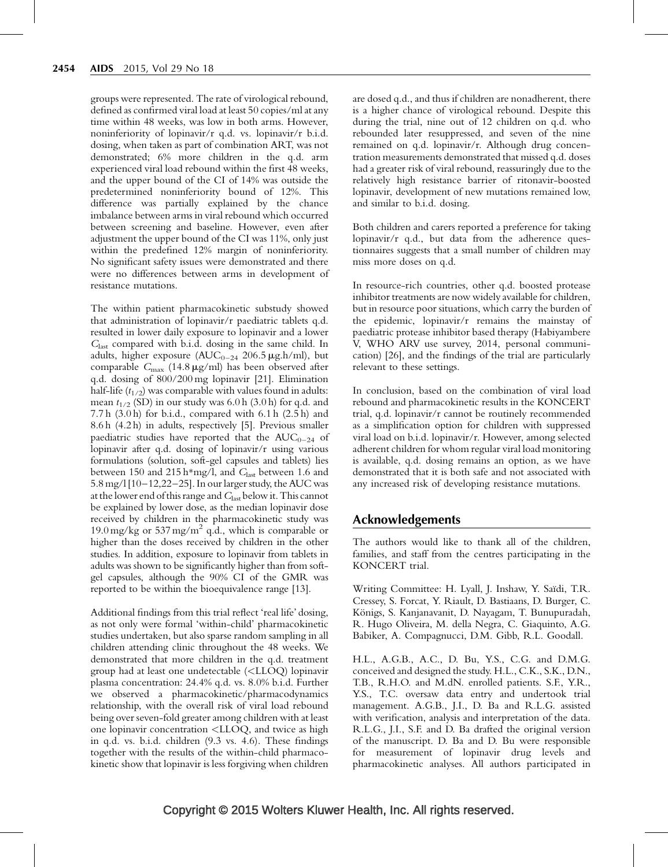groups were represented. The rate of virological rebound, defined as confirmed viral load at least 50 copies/ml at any time within 48 weeks, was low in both arms. However, noninferiority of lopinavir/r q.d. vs. lopinavir/r b.i.d. dosing, when taken as part of combination ART, was not demonstrated; 6% more children in the q.d. arm experienced viral load rebound within the first 48 weeks, and the upper bound of the CI of 14% was outside the predetermined noninferiority bound of 12%. This difference was partially explained by the chance imbalance between arms in viral rebound which occurred between screening and baseline. However, even after adjustment the upper bound of the CI was 11%, only just within the predefined 12% margin of noninferiority. No significant safety issues were demonstrated and there were no differences between arms in development of resistance mutations.

The within patient pharmacokinetic substudy showed that administration of lopinavir/r paediatric tablets q.d. resulted in lower daily exposure to lopinavir and a lower Clast compared with b.i.d. dosing in the same child. In adults, higher exposure  $(AUC_{0-24} 206.5 \mu g.h/ml)$ , but comparable  $C_{\text{max}}$  (14.8 µg/ml) has been observed after q.d. dosing of 800/200 mg lopinavir [\[21\].](#page-10-0) Elimination half-life  $(t_{1/2})$  was comparable with values found in adults: mean  $t_{1/2}$  (SD) in our study was 6.0 h (3.0 h) for q.d. and 7.7 h (3.0 h) for b.i.d., compared with 6.1 h (2.5 h) and 8.6 h (4.2 h) in adults, respectively [\[5\].](#page-9-0) Previous smaller paediatric studies have reported that the  $AUC_{0-24}$  of lopinavir after q.d. dosing of lopinavir/r using various formulations (solution, soft-gel capsules and tablets) lies between 150 and 215 h\*mg/l, and  $C_{\text{last}}$  between 1.6 and 5.8 mg/l [\[10–12,22–25\]](#page-9-0). In our larger study, the AUC was at the lower end of this range and Clast below it. This cannot be explained by lower dose, as the median lopinavir dose received by children in the pharmacokinetic study was 19.0 mg/kg or 537 mg/m<sup>2</sup> q.d., which is comparable or higher than the doses received by children in the other studies. In addition, exposure to lopinavir from tablets in adults was shown to be significantly higher than from softgel capsules, although the 90% CI of the GMR was reported to be within the bioequivalence range [\[13\]](#page-10-0).

Additional findings from this trial reflect 'real life' dosing, as not only were formal 'within-child' pharmacokinetic studies undertaken, but also sparse random sampling in all children attending clinic throughout the 48 weeks. We demonstrated that more children in the q.d. treatment group had at least one undetectable (<LLOQ) lopinavir plasma concentration: 24.4% q.d. vs. 8.0% b.i.d. Further we observed a pharmacokinetic/pharmacodynamics relationship, with the overall risk of viral load rebound being over seven-fold greater among children with at least one lopinavir concentration <LLOQ, and twice as high in q.d. vs. b.i.d. children (9.3 vs. 4.6). These findings together with the results of the within-child pharmacokinetic show that lopinavir is less forgiving when children

are dosed q.d., and thus if children are nonadherent, there is a higher chance of virological rebound. Despite this during the trial, nine out of 12 children on q.d. who rebounded later resuppressed, and seven of the nine remained on q.d. lopinavir/r. Although drug concentration measurements demonstrated that missed q.d. doses had a greater risk of viral rebound, reassuringly due to the relatively high resistance barrier of ritonavir-boosted lopinavir, development of new mutations remained low, and similar to b.i.d. dosing.

Both children and carers reported a preference for taking lopinavir/r q.d., but data from the adherence questionnaires suggests that a small number of children may miss more doses on q.d.

In resource-rich countries, other q.d. boosted protease inhibitor treatments are now widely available for children, but in resource poor situations, which carry the burden of the epidemic, lopinavir/r remains the mainstay of paediatric protease inhibitor based therapy (Habiyambere V, WHO ARV use survey, 2014, personal communication) [\[26\],](#page-10-0) and the findings of the trial are particularly relevant to these settings.

In conclusion, based on the combination of viral load rebound and pharmacokinetic results in the KONCERT trial, q.d. lopinavir/r cannot be routinely recommended as a simplification option for children with suppressed viral load on b.i.d. lopinavir/r. However, among selected adherent children for whom regular viral load monitoring is available, q.d. dosing remains an option, as we have demonstrated that it is both safe and not associated with any increased risk of developing resistance mutations.

## Acknowledgements

The authors would like to thank all of the children, families, and staff from the centres participating in the KONCERT trial.

Writing Committee: H. Lyall, J. Inshaw, Y. Saïdi, T.R. Cressey, S. Forcat, Y. Riault, D. Bastiaans, D. Burger, C. Königs, S. Kanjanavanit, D. Nayagam, T. Bunupuradah, R. Hugo Oliveira, M. della Negra, C. Giaquinto, A.G. Babiker, A. Compagnucci, D.M. Gibb, R.L. Goodall.

H.L., A.G.B., A.C., D. Bu, Y.S., C.G. and D.M.G. conceived and designed the study. H.L., C.K., S.K., D.N., T.B., R.H.O. and M.dN. enrolled patients. S.F., Y.R., Y.S., T.C. oversaw data entry and undertook trial management. A.G.B., J.I., D. Ba and R.L.G. assisted with verification, analysis and interpretation of the data. R.L.G., J.I., S.F. and D. Ba drafted the original version of the manuscript. D. Ba and D. Bu were responsible for measurement of lopinavir drug levels and pharmacokinetic analyses. All authors participated in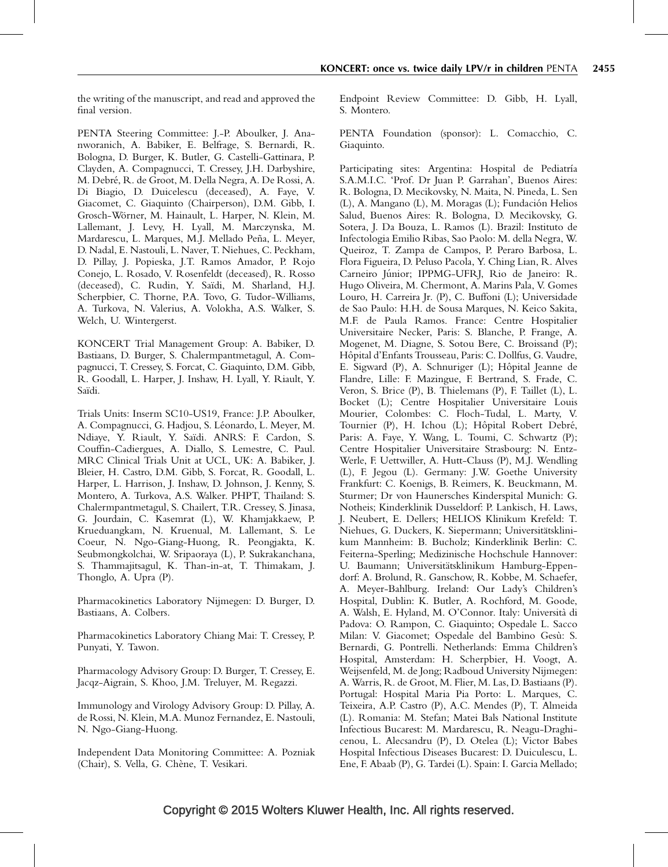the writing of the manuscript, and read and approved the final version.

PENTA Steering Committee: J.-P. Aboulker, J. Ananworanich, A. Babiker, E. Belfrage, S. Bernardi, R. Bologna, D. Burger, K. Butler, G. Castelli-Gattinara, P. Clayden, A. Compagnucci, T. Cressey, J.H. Darbyshire, M. Debré, R. de Groot, M. Della Negra, A. De Rossi, A. Di Biagio, D. Duicelescu (deceased), A. Faye, V. Giacomet, C. Giaquinto (Chairperson), D.M. Gibb, I. Grosch-Wo¨rner, M. Hainault, L. Harper, N. Klein, M. Lallemant, J. Levy, H. Lyall, M. Marczynska, M. Mardarescu, L. Marques, M.J. Mellado Peña, L. Meyer, D. Nadal, E. Nastouli, L. Naver, T. Niehues, C. Peckham, D. Pillay, J. Popieska, J.T. Ramos Amador, P. Rojo Conejo, L. Rosado, V. Rosenfeldt (deceased), R. Rosso (deceased), C. Rudin, Y. Saïdi, M. Sharland, H.J. Scherpbier, C. Thorne, P.A. Tovo, G. Tudor-Williams, A. Turkova, N. Valerius, A. Volokha, A.S. Walker, S. Welch, U. Wintergerst.

KONCERT Trial Management Group: A. Babiker, D. Bastiaans, D. Burger, S. Chalermpantmetagul, A. Compagnucci, T. Cressey, S. Forcat, C. Giaquinto, D.M. Gibb, R. Goodall, L. Harper, J. Inshaw, H. Lyall, Y. Riault, Y. Saïdi.

Trials Units: Inserm SC10-US19, France: J.P. Aboulker, A. Compagnucci, G. Hadjou, S. Léonardo, L. Meyer, M. Ndiaye, Y. Riault, Y. Saïdi. ANRS: F. Cardon, S. Couffin-Cadiergues, A. Diallo, S. Lemestre, C. Paul. MRC Clinical Trials Unit at UCL, UK: A. Babiker, J. Bleier, H. Castro, D.M. Gibb, S. Forcat, R. Goodall, L. Harper, L. Harrison, J. Inshaw, D. Johnson, J. Kenny, S. Montero, A. Turkova, A.S. Walker. PHPT, Thailand: S. Chalermpantmetagul, S. Chailert, T.R. Cressey, S. Jinasa, G. Jourdain, C. Kasemrat (L), W. Khamjakkaew, P. Krueduangkam, N. Kruenual, M. Lallemant, S. Le Coeur, N. Ngo-Giang-Huong, R. Peongjakta, K. Seubmongkolchai, W. Sripaoraya (L), P. Sukrakanchana, S. Thammajitsagul, K. Than-in-at, T. Thimakam, J. Thonglo, A. Upra (P).

Pharmacokinetics Laboratory Nijmegen: D. Burger, D. Bastiaans, A. Colbers.

Pharmacokinetics Laboratory Chiang Mai: T. Cressey, P. Punyati, Y. Tawon.

Pharmacology Advisory Group: D. Burger, T. Cressey, E. Jacqz-Aigrain, S. Khoo, J.M. Treluyer, M. Regazzi.

Immunology and Virology Advisory Group: D. Pillay, A. de Rossi, N. Klein, M.A. Munoz Fernandez, E. Nastouli, N. Ngo-Giang-Huong.

Independent Data Monitoring Committee: A. Pozniak (Chair), S. Vella, G. Chène, T. Vesikari.

Endpoint Review Committee: D. Gibb, H. Lyall, S. Montero.

PENTA Foundation (sponsor): L. Comacchio, C. Giaquinto.

Participating sites: Argentina: Hospital de Pediatría S.A.M.I.C. 'Prof. Dr Juan P. Garrahan', Buenos Aires: R. Bologna, D. Mecikovsky, N. Maita, N. Pineda, L. Sen (L), A. Mangano (L), M. Moragas (L); Fundación Helios Salud, Buenos Aires: R. Bologna, D. Mecikovsky, G. Sotera, J. Da Bouza, L. Ramos (L). Brazil: Instituto de Infectologia Emilio Ribas, Sao Paolo: M. della Negra, W. Queiroz, T. Zampa de Campos, P. Peraro Barbosa, L. Flora Figueira, D. Peluso Pacola, Y. Ching Lian, R. Alves Carneiro Júnior; IPPMG-UFRJ, Rio de Janeiro: R. Hugo Oliveira, M. Chermont, A. Marins Pala, V. Gomes Louro, H. Carreira Jr. (P), C. Buffoni (L); Universidade de Sao Paulo: H.H. de Sousa Marques, N. Keico Sakita, M.F. de Paula Ramos. France: Centre Hospitalier Universitaire Necker, Paris: S. Blanche, P. Frange, A. Mogenet, M. Diagne, S. Sotou Bere, C. Broissand (P); Hôpital d'Enfants Trousseau, Paris: C. Dollfus, G. Vaudre, E. Sigward (P), A. Schnuriger (L); Hôpital Jeanne de Flandre, Lille: F. Mazingue, F. Bertrand, S. Frade, C. Veron, S. Brice (P), B. Thielemans (P), F. Taillet (L), L. Bocket (L); Centre Hospitalier Universitaire Louis Mourier, Colombes: C. Floch-Tudal, L. Marty, V. Tournier (P), H. Ichou (L); Hôpital Robert Debré, Paris: A. Faye, Y. Wang, L. Toumi, C. Schwartz (P); Centre Hospitalier Universitaire Strasbourg: N. Entz-Werle, F. Uettwiller, A. Hutt-Clauss (P), M.J. Wendling (L), F. Jegou (L). Germany: J.W. Goethe University Frankfurt: C. Koenigs, B. Reimers, K. Beuckmann, M. Sturmer; Dr von Haunersches Kinderspital Munich: G. Notheis; Kinderklinik Dusseldorf: P. Lankisch, H. Laws, J. Neubert, E. Dellers; HELIOS Klinikum Krefeld: T. Niehues, G. Duckers, K. Siepermann; Universitätsklinikum Mannheim: B. Bucholz; Kinderklinik Berlin: C. Feiterna-Sperling; Medizinische Hochschule Hannover: U. Baumann; Universitätsklinikum Hamburg-Eppendorf: A. Brolund, R. Ganschow, R. Kobbe, M. Schaefer, A. Meyer-Bahlburg. Ireland: Our Lady's Children's Hospital, Dublin: K. Butler, A. Rochford, M. Goode, A. Walsh, E. Hyland, M. O'Connor. Italy: Universita` di Padova: O. Rampon, C. Giaquinto; Ospedale L. Sacco Milan: V. Giacomet; Ospedale del Bambino Gesù: S. Bernardi, G. Pontrelli. Netherlands: Emma Children's Hospital, Amsterdam: H. Scherpbier, H. Voogt, A. Weijsenfeld, M. de Jong; Radboud University Nijmegen: A. Warris, R. de Groot, M. Flier, M. Las, D. Bastiaans (P). Portugal: Hospital Maria Pia Porto: L. Marques, C. Teixeira, A.P. Castro (P), A.C. Mendes (P), T. Almeida (L). Romania: M. Stefan; Matei Bals National Institute Infectious Bucarest: M. Mardarescu, R. Neagu-Draghicenou, L. Alecsandru (P), D. Otelea (L); Victor Babes Hospital Infectious Diseases Bucarest: D. Duiculescu, L. Ene, F. Abaab (P), G. Tardei (L). Spain: I. Garcia Mellado;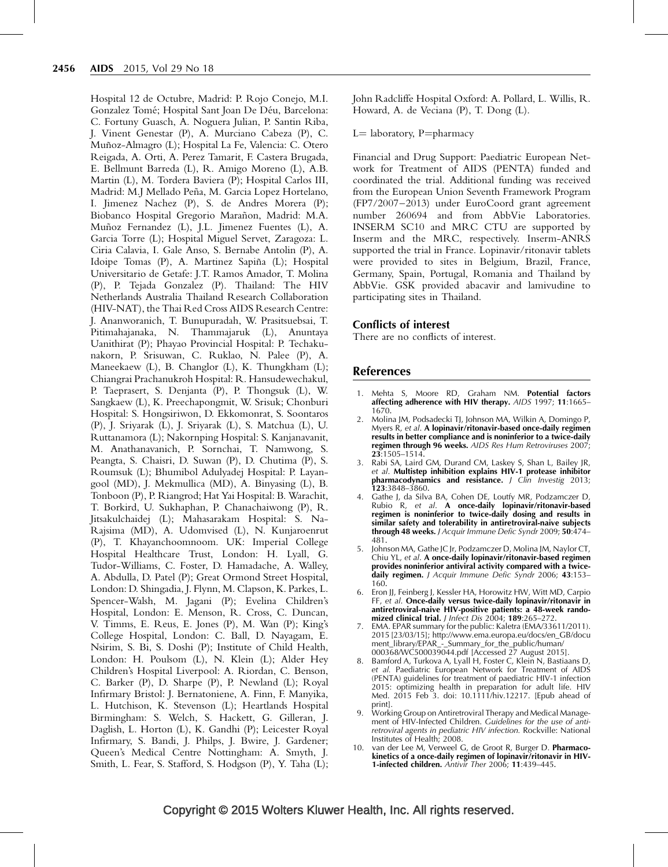<span id="page-9-0"></span>Hospital 12 de Octubre, Madrid: P. Rojo Conejo, M.I. Gonzalez Tomé; Hospital Sant Joan De Déu, Barcelona: C. Fortuny Guasch, A. Noguera Julian, P. Santin Riba, J. Vinent Genestar (P), A. Murciano Cabeza (P), C. Muñoz-Almagro (L); Hospital La Fe, Valencia: C. Otero Reigada, A. Orti, A. Perez Tamarit, F. Castera Brugada, E. Bellmunt Barreda (L), R. Amigo Moreno (L), A.B. Martin (L), M. Tordera Baviera (P); Hospital Carlos III, Madrid: M.J Mellado Peña, M. Garcia Lopez Hortelano, I. Jimenez Nachez (P), S. de Andres Morera (P); Biobanco Hospital Gregorio Marañon, Madrid: M.A. Muñoz Fernandez (L), J.L. Jimenez Fuentes (L), A. Garcia Torre (L); Hospital Miguel Servet, Zaragoza: L. Ciria Calavia, I. Gale Anso, S. Bernabe Antolin (P), A. Idoipe Tomas (P), A. Martinez Sapiña (L); Hospital Universitario de Getafe: J.T. Ramos Amador, T. Molina (P), P. Tejada Gonzalez (P). Thailand: The HIV Netherlands Australia Thailand Research Collaboration (HIV-NAT), the Thai Red Cross AIDS Research Centre: J. Ananworanich, T. Bunupuradah, W. Prasitsuebsai, T. Pitimahajanaka, N. Thammajaruk (L), Anuntaya Uanithirat (P); Phayao Provincial Hospital: P. Techakunakorn, P. Srisuwan, C. Ruklao, N. Palee (P), A. Maneekaew (L), B. Changlor (L), K. Thungkham (L); Chiangrai Prachanukroh Hospital: R. Hansudewechakul, P. Taeprasert, S. Denjanta (P), P. Thongsuk (L), W. Sangkaew (L), K. Preechapongmit, W. Srisuk; Chonburi Hospital: S. Hongsiriwon, D. Ekkomonrat, S. Soontaros (P), J. Sriyarak (L), J. Sriyarak (L), S. Matchua (L), U. Ruttanamora (L); Nakornping Hospital: S. Kanjanavanit, M. Anathanavanich, P. Sornchai, T. Namwong, S. Peangta, S. Chaisri, D. Suwan (P), D. Chutima (P), S. Roumsuk (L); Bhumibol Adulyadej Hospital: P. Layangool (MD), J. Mekmullica (MD), A. Binyasing (L), B. Tonboon (P), P. Riangrod; Hat Yai Hospital: B. Warachit, T. Borkird, U. Sukhaphan, P. Chanachaiwong (P), R. Jitsakulchaidej (L); Mahasarakam Hospital: S. Na-Rajsima (MD), A. Udomvised (L), N. Kunjaroenrut (P), T. Khayanchoomnoom. UK: Imperial College Hospital Healthcare Trust, London: H. Lyall, G. Tudor-Williams, C. Foster, D. Hamadache, A. Walley, A. Abdulla, D. Patel (P); Great Ormond Street Hospital, London: D. Shingadia, J. Flynn, M. Clapson, K. Parkes, L. Spencer-Walsh, M. Jagani (P); Evelina Children's Hospital, London: E. Menson, R. Cross, C. Duncan, V. Timms, E. Reus, E. Jones (P), M. Wan (P); King's College Hospital, London: C. Ball, D. Nayagam, E. Nsirim, S. Bi, S. Doshi (P); Institute of Child Health, London: H. Poulsom (L), N. Klein (L); Alder Hey Children's Hospital Liverpool: A. Riordan, C. Benson, C. Barker (P), D. Sharpe (P), P. Newland (L); Royal Infirmary Bristol: J. Bernatoniene, A. Finn, F. Manyika, L. Hutchison, K. Stevenson (L); Heartlands Hospital Birmingham: S. Welch, S. Hackett, G. Gilleran, J. Daglish, L. Horton (L), K. Gandhi (P); Leicester Royal Infirmary, S. Bandi, J. Philps, J. Bwire, J. Gardener; Queen's Medical Centre Nottingham: A. Smyth, J. Smith, L. Fear, S. Stafford, S. Hodgson (P), Y. Taha (L);

John Radcliffe Hospital Oxford: A. Pollard, L. Willis, R. Howard, A. de Veciana (P), T. Dong (L).

 $L =$  laboratory, P=pharmacy

Financial and Drug Support: Paediatric European Network for Treatment of AIDS (PENTA) funded and coordinated the trial. Additional funding was received from the European Union Seventh Framework Program (FP7/2007–2013) under EuroCoord grant agreement number 260694 and from AbbVie Laboratories. INSERM SC10 and MRC CTU are supported by Inserm and the MRC, respectively. Inserm-ANRS supported the trial in France. Lopinavir/ritonavir tablets were provided to sites in Belgium, Brazil, France, Germany, Spain, Portugal, Romania and Thailand by AbbVie. GSK provided abacavir and lamivudine to participating sites in Thailand.

#### Conflicts of interest

There are no conflicts of interest.

#### References

- Mehta S, Moore RD, Graham NM. Potential factors affecting adherence with HIV therapy. AIDS 1997; 11:1665-1670.
- 2. Molina JM, Podsadecki TJ, Johnson MA, Wilkin A, Domingo P, Myers R, et al. A lopinavir/ritonavir-based once-daily regimen results in better compliance and is noninferior to a twice-daily regimen through 96 weeks. AIDS Res Hum Retroviruses 2007; 23:1505–1514.
- 3. Rabi SA, Laird GM, Durand CM, Laskey S, Shan L, Bailey JR, et al. Multistep inhibition explains HIV-1 protease inhibitor pharmacodynamics and resistance. J Clin Investig 2013; 123:3848–3860.
- 4. Gathe J, da Silva BA, Cohen DE, Loutfy MR, Podzamczer D, Rubio R, et al. A once-daily lopinavir/ritonavir-based regimen is noninferior to twice-daily dosing and results in similar safety and tolerability in antiretroviral-naive subjects through 48 weeks. J Acquir Immune Defic Syndr 2009; 50:474-481.
- 5. Johnson MA, Gathe JC Jr, Podzamczer D, Molina JM, Naylor CT, Chiu YL, et al. A once-daily lopinavir/ritonavir-based regimen provides noninferior antiviral activity compared with a twicedaily regimen. J Acquir Immune Defic Syndr 2006; 43:153-160.
- 6. Eron JJ, Feinberg J, Kessler HA, Horowitz HW, Witt MD, Carpio FF, et al. Once-daily versus twice-daily lopinavir/ritonavir in antiretroviral-naive HIV-positive patients: a 48-week randomized clinical trial. J Infect Dis 2004; 189:265-272.
- 7. EMA. EPAR summary for the public: Kaletra (EMA/33611/2011). 2015 [23/03/15]; [http://www.ema.europa.eu/docs/en\\_GB/docu](http://www.ema.europa.eu/docs/en_GB/document_library/EPAR_-_Summary_for_the_public/human/000368/WC500039044.pdf) [ment\\_library/EPAR\\_-\\_Summary\\_for\\_the\\_public/human/](http://www.ema.europa.eu/docs/en_GB/document_library/EPAR_-_Summary_for_the_public/human/000368/WC500039044.pdf) [000368/WC500039044.pdf](http://www.ema.europa.eu/docs/en_GB/document_library/EPAR_-_Summary_for_the_public/human/000368/WC500039044.pdf) [Accessed 27 August 2015].
- Bamford A, Turkova A, Lyall H, Foster C, Klein N, Bastiaans D, et al. Paediatric European Network for Treatment of AIDS (PENTA) guidelines for treatment of paediatric HIV-1 infection 2015: optimizing health in preparation for adult life. HIV Med. 2015 Feb 3. doi: 10.1111/hiv.12217. [Epub ahead of print].
- 9. Working Group on Antiretroviral Therapy and Medical Management of HIV-Infected Children. Guidelines for the use of antiretroviral agents in pediatric HIV infection. Rockville: National Institutes of Health; 2008.
- 10. van der Lee M, Verweel G, de Groot R, Burger D. Pharmacokinetics of a once-daily regimen of lopinavir/ritonavir in HIV-1-infected children. Antivir Ther 2006; 11:439-445.